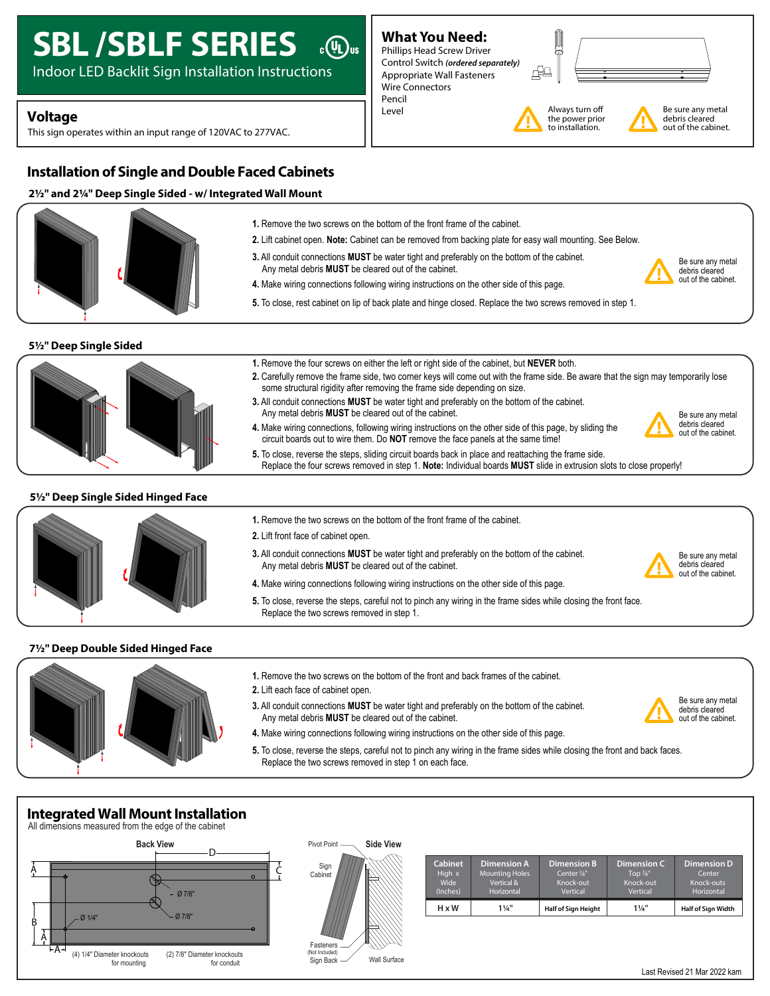# **SBL /SBLF SERIES** @

Indoor LED Backlit Sign Installation Instructions

## **Voltage** and **Voltage** and **Voltage** and **Voltage** and **V**

This sign operates within an input range of 120VAC to 277VAC.

## **Installation of Single and Double Faced Cabinets**

## **2½" and 2¼" Deep Single Sided - w/ Integrated Wall Mount**



## **5½" Deep Single Sided**



#### **5½" Deep Single Sided Hinged Face**



#### **1.** Remove the two screws on the bottom of the front frame of the cabinet.

**2.** Lift front face of cabinet open.

- **3.** All conduit connections **MUST** be water tight and preferably on the bottom of the cabinet. Any metal debris **MUST** be cleared out of the cabinet.
- **4.** Make wiring connections following wiring instructions on the other side of this page.
- **5.** To close, reverse the steps, careful not to pinch any wiring in the frame sides while closing the front face. Replace the two screws removed in step 1.

#### **7½" Deep Double Sided Hinged Face**



**1.** Remove the two screws on the bottom of the front and back frames of the cabinet.

**4.** Make wiring connections following wiring instructions on the other side of this page.

- **2.** Lift each face of cabinet open.
- **3.** All conduit connections **MUST** be water tight and preferably on the bottom of the cabinet. Any metal debris **MUST** be cleared out of the cabinet.



**5.** To close, reverse the steps, careful not to pinch any wiring in the frame sides while closing the front and back faces. Replace the two screws removed in step 1 on each face.

## **Integrated Wall Mount Installation**





| <b>Cabinet</b> | <b>Dimension A</b>    | <b>Dimension B</b>         | Dimension C         | <b>Dimension D</b>        |
|----------------|-----------------------|----------------------------|---------------------|---------------------------|
| High x         | <b>Mounting Holes</b> | Center 1/8"                | Top $\frac{7}{8}$ " | Center                    |
| Wide           | Vertical &            | Knock-out                  | Knock-out           | Knock-outs                |
| (Inches)       | <b>Horizontal</b>     | Vertical                   | Vertical            | Horizontal                |
| $H \times W$   | $1\frac{1}{4}$ "      | <b>Half of Sign Height</b> | $1\frac{1}{4}$ "    | <b>Half of Sign Width</b> |

- 
- Be sure any metal debris cleared out of the cabinet.

Be sure any metal debris cleared out of the cabinet.

Be sure any metal debris cleared out of the cabinet.

- **1.** Remove the four screws on either the left or right side of the cabinet, but **NEVER** both. **2.** Carefully remove the frame side, two corner keys will come out with the frame side. Be aware that the sign may temporarily lose
- some structural rigidity after removing the frame side depending on size. **3.** All conduit connections **MUST** be water tight and preferably on the bottom of the cabinet. Any metal debris **MUST** be cleared out of the cabinet.

**5.** To close, rest cabinet on lip of back plate and hinge closed. Replace the two screws removed in step 1.

**4.** Make wiring connections, following wiring instructions on the other side of this page, by sliding the circuit boards out to wire them. Do **NOT** remove the face panels at the same time!

**3.** All conduit connections **MUST** be water tight and preferably on the bottom of the cabinet.

**4.** Make wiring connections following wiring instructions on the other side of this page.

Any metal debris **MUST** be cleared out of the cabinet.

**What You Need:** Phillips Head Screw Driver Control Switch *(ordered separately)* Appropriate Wall Fasteners Wire Connectors

Pencil

**1.** Remove the two screws on the bottom of the front frame of the cabinet.





Always turn o the power prior to installation.



Be sure any metal debris cleared out of the cabinet.